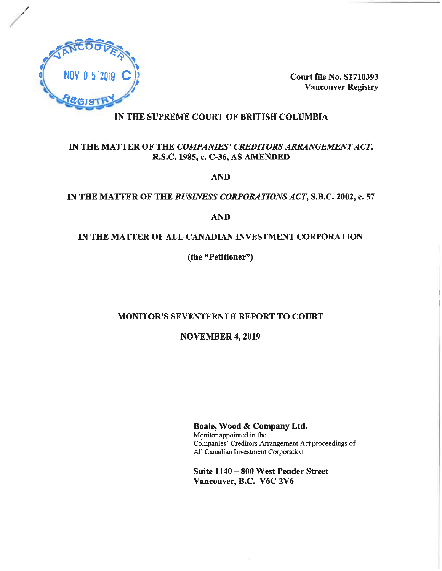

**Court file No. S1710393 Vancouver Registry** 

# IN THE SUPREME COURT OF BRITISH COLUMBIA

# IN THE MATTER OF THE COMPANIES' CREDITORS ARRANGEMENT ACT, R.S.C. 1985, c. C-36, AS AMENDED

**AND** 

## IN THE MATTER OF THE BUSINESS CORPORATIONS ACT, S.B.C. 2002, c. 57

# **AND**

## IN THE MATTER OF ALL CANADIAN INVESTMENT CORPORATION

(the "Petitioner")

# MONITOR'S SEVENTEENTH REPORT TO COURT

**NOVEMBER 4, 2019** 

Boale, Wood & Company Ltd. Monitor appointed in the Companies' Creditors Arrangement Act proceedings of All Canadian Investment Corporation

Suite 1140 - 800 West Pender Street Vancouver, B.C. V6C 2V6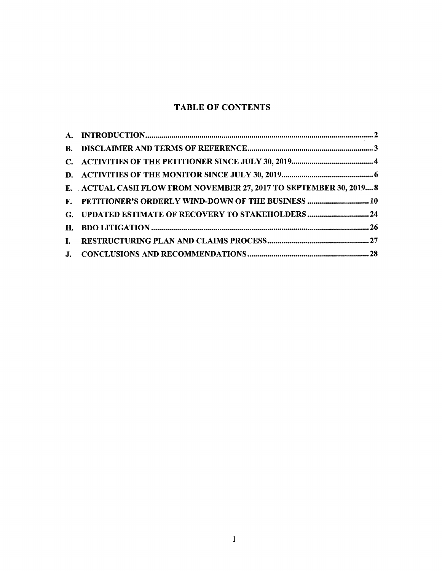# **TABLE OF CONTENTS**

| E. ACTUAL CASH FLOW FROM NOVEMBER 27, 2017 TO SEPTEMBER 30, 2019 8 |  |
|--------------------------------------------------------------------|--|
| F. PETITIONER'S ORDERLY WIND-DOWN OF THE BUSINESS  10              |  |
| G. UPDATED ESTIMATE OF RECOVERY TO STAKEHOLDERS  24                |  |
|                                                                    |  |
|                                                                    |  |
|                                                                    |  |
|                                                                    |  |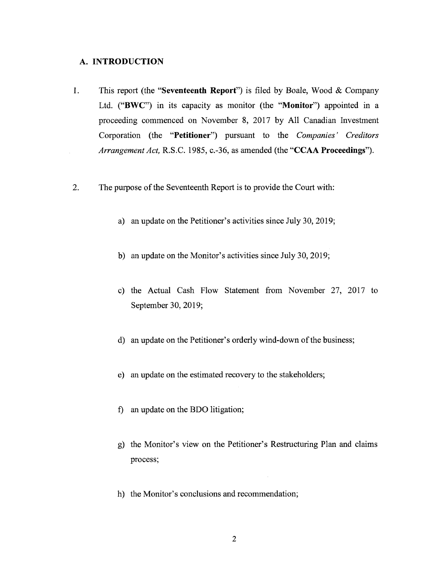#### **A. INTRODUCTION**

- 1. This report (the **"Seventeenth Report")** is filed by Boale, Wood & Company Ltd. **("BWC")** in its capacity as monitor (the **"Monitor")** appointed in a proceeding commenced on November 8, 2017 by All Canadian Investment Corporation (the **"Petitioner")** pursuant to the *Companies ' Creditors Arrangement Act,* R.S.C. 1985, c.-36, as amended (the **"CCAA Proceedings").**
- 2. The purpose of the Seventeenth Report is to provide the Court with:
	- a) an update on the Petitioner's activities since July 30, 2019;
	- b) an update on the Monitor's activities since July 30, 2019;
	- c) the Actual Cash Flow Statement from November 27, 2017 to September 30, 2019;
	- d) an update on the Petitioner's orderly wind-down of the business;
	- e) an update on the estimated recovery to the stakeholders;
	- f) an update on the BDO litigation;
	- g) the Monitor's view on the Petitioner's Restructuring Plan and claims process;
	- h) the Monitor's conclusions and recommendation;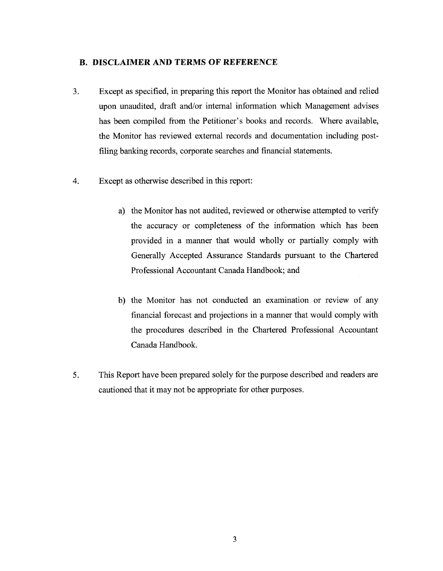### <span id="page-3-0"></span>**B. DISCLAIMER AND TERMS OF REFERENCE**

- 3. Except as specified, in preparing this report the Monitor has obtained and relied upon unaudited, draft and/or internal information which Management advises has been compiled from the Petitioner's books and records. Where available, the Monitor has reviewed external records and documentation including postfiling banking records, corporate searches and financial statements.
- 4. Except as otherwise described in this report:
	- a) the Monitor has not audited, reviewed or otherwise attempted to verify the accuracy or completeness of the information which has been provided in a manner that would wholly or partially comply with Generally Accepted Assurance Standards pursuant to the Chartered Professional Accountant Canada Handbook; and
	- b) the Monitor has not conducted an examination or review of any financial forecast and projections in a manner that would comply with the procedures described in the Chartered Professional Accountant Canada Handbook.
- 5. This Report have been prepared solely for the purpose described and readers are cautioned that it may not be appropriate for other purposes.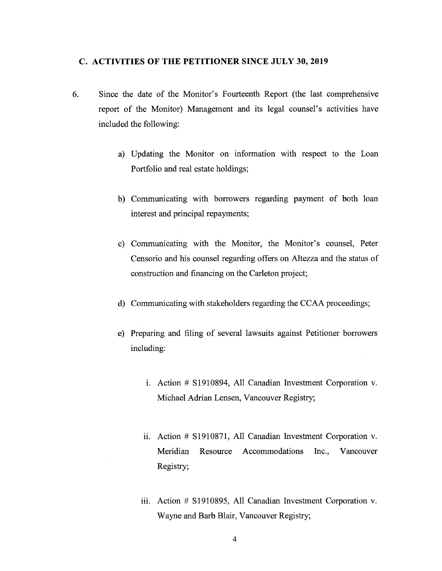#### <span id="page-4-0"></span>**C. ACTIVITIES OF THE PETITIONER SINCE JULY 30, 2019**

- 6. Since the date of the Monitor's Fourteenth Report (the last comprehensive report of the Monitor) Management and its legal counsel's activities have included the following:
	- a) Updating the Monitor on information with respect to the Loan Portfolio and real estate holdings;
	- b) Communicating with borrowers regarding payment of both loan interest and principal repayments;
	- c) Communicating with the Monitor, the Monitor's counsel, Peter Censorio and his counsel regarding offers on Altezza and the status of construction and financing on the Carleton project;
	- d) Communicating with stakeholders regarding the CCAA proceedings;
	- e) Preparing and filing of several lawsuits against Petitioner borrowers including:
		- i. Action # SI910894, All Canadian Investment Corporation v. Michael Adrian Lensen, Vancouver Registry;
		- ii. Action # SI910871, All Canadian Investment Corporation v. Meridian Resource Accommodations Inc., Vancouver Registry;
		- iii. Action # SI910895, All Canadian Investment Corporation v. Wayne and Barb Blair, Vancouver Registry;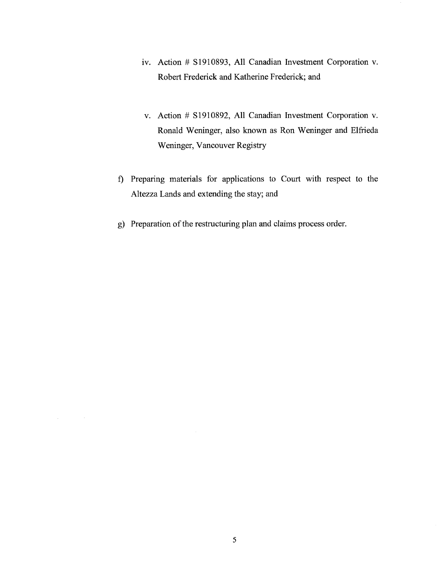- iv. Action # S1910893, All Canadian Investment Corporation v. Robert Frederick and Katherine Frederick; and
- v. Action # SI910892, All Canadian Investment Corporation v. Ronald Weninger, also known as Ron Weninger and Elfrieda Weninger, Vancouver Registry
- f) Preparing materials for applications to Court with respect to the Altezza Lands and extending the stay; and
- g) Preparation of the restructuring plan and claims process order.

 $\Delta \phi = 0.000$  and  $\Delta \phi$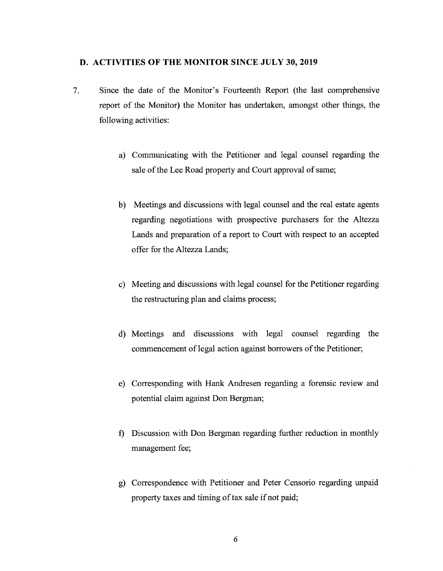#### <span id="page-6-0"></span>**D. ACTIVITIES OF THE MONITOR SINCE JULY 30, 2019**

- 7. Since the date of the Monitor's Fourteenth Report (the last comprehensive report of the Monitor) the Monitor has undertaken, amongst other things, the following activities:
	- a) Communicating with the Petitioner and legal counsel regarding the sale of the Lee Road property and Court approval of same;
	- b) Meetings and discussions with legal counsel and the real estate agents regarding negotiations with prospective purchasers for the Altezza Lands and preparation of a report to Court with respect to an accepted offer for the Altezza Lands;
	- c) Meeting and discussions with legal counsel for the Petitioner regarding the restructuring plan and claims process;
	- d) Meetings and discussions with legal counsel regarding the commencement of legal action against borrowers of the Petitioner;
	- e) Corresponding with Hank Andresen regarding a forensic review and potential claim against Don Bergman;
	- f) Discussion with Don Bergman regarding further reduction in monthly management fee;
	- g) Correspondence with Petitioner and Peter Censorio regarding unpaid property taxes and timing of tax sale if not paid;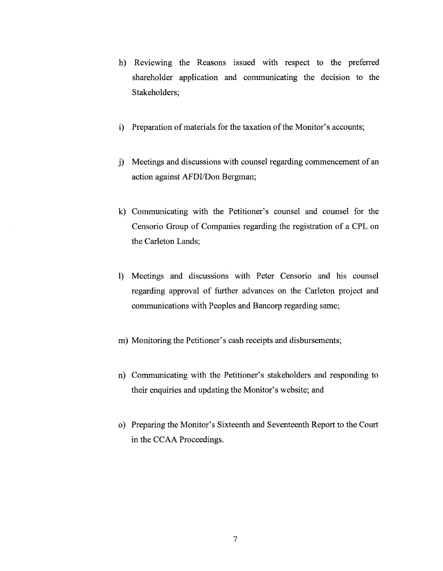- h) Reviewing the Reasons issued with respect to the preferred shareholder application and communicating the decision to the Stakeholders;
- i) Preparation of materials for the taxation of the Monitor's accounts;
- j) Meetings and discussions with counsel regarding commencement of an action against AFDI/Don Bergman;
- k) Communicating with the Petitioner's counsel and counsel for the Censorio Group of Companies regarding the registration of a CPL on the Carleton Lands;
- l) Meetings and discussions with Peter Censorio and his counsel regarding approval of further advances on the Carleton project and communications with Peoples and Bancorp regarding same;
- m) Monitoring the Petitioner's cash receipts and disbursements;
- n) Communicating with the Petitioner's stakeholders and responding to their enquiries and updating the Monitor's website; and
- o) Preparing the Monitor's Sixteenth and Seventeenth Report to the Court in the CCAA Proceedings.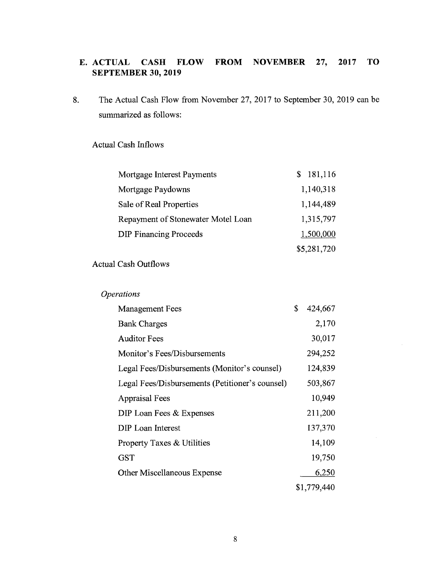# **E.ACTUAL CASH FLOW FROM NOVEMBER 27, 2017 TO SEPTEMBER 30, 2019**

8. The Actual Cash Flow from November 27, 2017 to September 30, 2019 can be summarized as follows:

# Actual Cash Inflows

| Mortgage Interest Payments         | \$181,116   |
|------------------------------------|-------------|
| Mortgage Paydowns                  | 1,140,318   |
| Sale of Real Properties            | 1,144,489   |
| Repayment of Stonewater Motel Loan | 1,315,797   |
| <b>DIP Financing Proceeds</b>      | 1,500,000   |
|                                    | \$5,281,720 |

# Actual Cash Outflows

# *Operations*

| <b>Management Fees</b>                          | \$<br>424,667 |
|-------------------------------------------------|---------------|
| <b>Bank Charges</b>                             | 2,170         |
| <b>Auditor Fees</b>                             | 30,017        |
| Monitor's Fees/Disbursements                    | 294,252       |
| Legal Fees/Disbursements (Monitor's counsel)    | 124,839       |
| Legal Fees/Disbursements (Petitioner's counsel) | 503,867       |
| <b>Appraisal Fees</b>                           | 10,949        |
| DIP Loan Fees & Expenses                        | 211,200       |
| DIP Loan Interest                               | 137,370       |
| Property Taxes & Utilities                      | 14,109        |
| <b>GST</b>                                      | 19,750        |
| Other Miscellaneous Expense                     | 6,250         |
|                                                 | \$1,779,440   |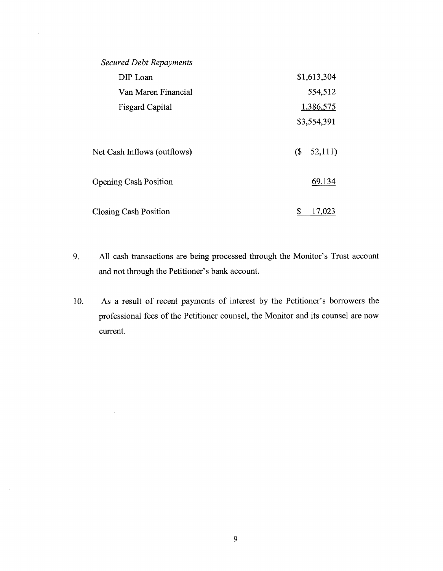| <b>Secured Debt Repayments</b> |                      |
|--------------------------------|----------------------|
| DIP Loan                       | \$1,613,304          |
| Van Maren Financial            | 554,512              |
| <b>Fisgard Capital</b>         | 1,386,575            |
|                                | \$3,554,391          |
| Net Cash Inflows (outflows)    | $\sqrt{S}$<br>52,111 |
| <b>Opening Cash Position</b>   | 69,134               |
| <b>Closing Cash Position</b>   | \$<br>17,023         |

- 9. All cash transactions are being processed through the Monitor's Trust account and not through the Petitioner's bank account.
- 10. As a result of recent payments of interest by the Petitioner's borrowers the professional fees of the Petitioner counsel, the Monitor and its counsel are now current.

 $\sim$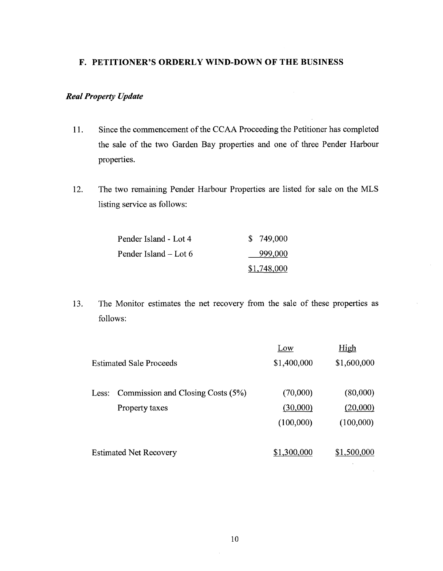## <span id="page-10-0"></span>**F. PETITIONER'S ORDERLY WIND-DOWN OF THE BUSINESS**

# *RealProperty Update*

- 11. Since the commencement of the CCAA Proceeding the Petitioner has completed the sale of the two Garden Bay properties and one of three Pender Harbour properties.
- 12. The two remaining Pender Harbour Properties are listed for sale on the MLS listing service as follows:

| Pender Island - Lot 4 | \$749,000   |
|-----------------------|-------------|
| Pender Island – Lot 6 | 999,000     |
|                       | \$1,748,000 |

13. The Monitor estimates the net recovery from the sale of these properties as follows:

|                                           | Low         | <u>High</u> |
|-------------------------------------------|-------------|-------------|
| <b>Estimated Sale Proceeds</b>            | \$1,400,000 | \$1,600,000 |
| Less: Commission and Closing Costs $(5%)$ | (70,000)    | (80,000)    |
| Property taxes                            | (30,000)    | (20,000)    |
|                                           | (100,000)   | (100,000)   |
| <b>Estimated Net Recovery</b>             | \$1,300,000 | \$1,500,000 |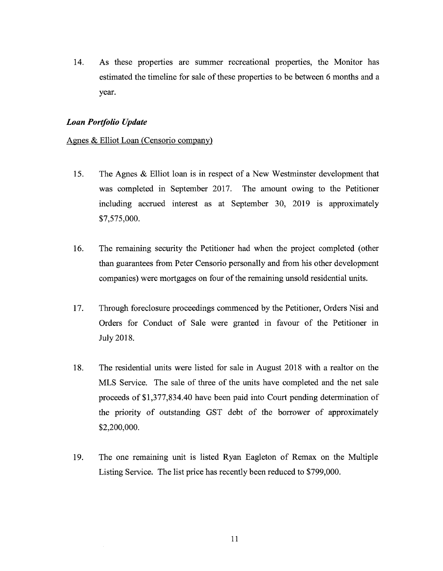14. As these properties are summer recreational properties, the Monitor has estimated the timeline for sale of these properties to be between 6 months and a year.

#### *Loan Portfolio Update*

#### Agnes & Elliot Loan (Censorio company)

- 15. The Agnes & Elliot loan is in respect of a New Westminster development that was completed in September 2017. The amount owing to the Petitioner including accrued interest as at September 30, 2019 is approximately \$7,575,000.
- 16. The remaining security the Petitioner had when the project completed (other than guarantees from Peter Censorio personally and from his other development companies) were mortgages on four of the remaining unsold residential units.
- 17. Through foreclosure proceedings commenced by the Petitioner, Orders Nisi and Orders for Conduct of Sale were granted in favour of the Petitioner in July 2018.
- 18. The residential units were listed for sale in August 2018 with a realtor on the MLS Service. The sale of three of the units have completed and the net sale proceeds of \$1,377,834.40 have been paid into Court pending determination of the priority of outstanding GST debt of the borrower of approximately \$2,200,000.
- 19. The one remaining unit is listed Ryan Eagleton of Remax on the Multiple Listing Service. The list price has recently been reduced to \$799,000.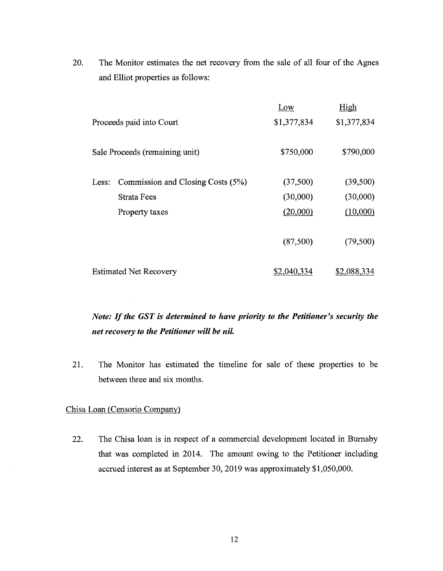20. The Monitor estimates the net recovery from the sale of all four of the Agnes and Elliot properties as follows:

|       |                                   | Low         | High        |
|-------|-----------------------------------|-------------|-------------|
|       | Proceeds paid into Court          | \$1,377,834 | \$1,377,834 |
|       | Sale Proceeds (remaining unit)    | \$750,000   | \$790,000   |
|       |                                   |             |             |
| Less: | Commission and Closing Costs (5%) | (37,500)    | (39,500)    |
|       | Strata Fees                       | (30,000)    | (30,000)    |
|       | Property taxes                    | (20,000)    | (10,000)    |
|       |                                   |             |             |
|       |                                   | (87,500)    | (79,500)    |
|       |                                   |             |             |
|       | <b>Estimated Net Recovery</b>     | \$2,040,334 | \$2,088,334 |

*Note: Ifthe GST is determined to have priority to the Petitioner's security the net recovery to the Petitioner will be nil.*

21. The Monitor has estimated the timeline for sale of these properties to be between three and six months.

#### Chisa Loan (Censorio Company)

22. The Chisa loan is in respect of a commercial development located in Burnaby that was completed in 2014. The amount owing to the Petitioner including accrued interest as at September 30, 2019 was approximately \$1,050,000.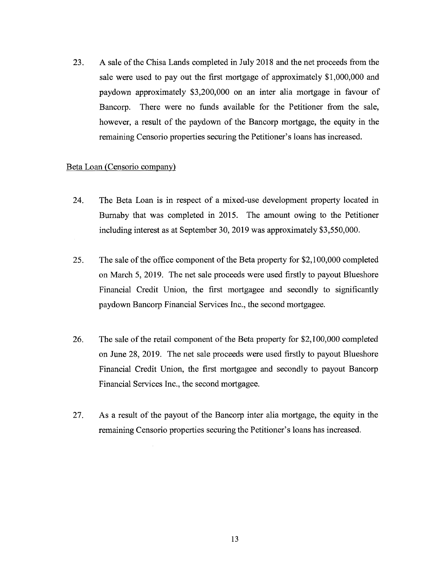23. A sale of the Chisa Lands completed in July 2018 and the net proceeds from the sale were used to pay out the first mortgage of approximately \$1,000,000 and paydown approximately \$3,200,000 on an inter alia mortgage in favour of Bancorp. There were no funds available for the Petitioner from the sale, however, a result of the paydown of the Bancorp mortgage, the equity in the remaining Censorio properties securing the Petitioner's loans has increased.

#### Beta Loan (Censorio company)

- 24. The Beta Loan is in respect of a mixed-use development property located in Burnaby that was completed in 2015. The amount owing to the Petitioner including interest as at September 30, 2019 was approximately \$3,550,000.
- 25. The sale of the office component of the Beta property for \$2,100,000 completed on March 5, 2019. The net sale proceeds were used firstly to payout Blueshore Financial Credit Union, the first mortgagee and secondly to significantly paydown Bancorp Financial Services Inc., the second mortgagee.
- 26. The sale of the retail component of the Beta property for \$2,100,000 completed on June 28, 2019. The net sale proceeds were used firstly to payout Blueshore Financial Credit Union, the first mortgagee and secondly to payout Bancorp Financial Services Inc., the second mortgagee.
- 27. As a result of the payout of the Bancorp inter alia mortgage, the equity in the remaining Censorio properties securing the Petitioner's loans has increased.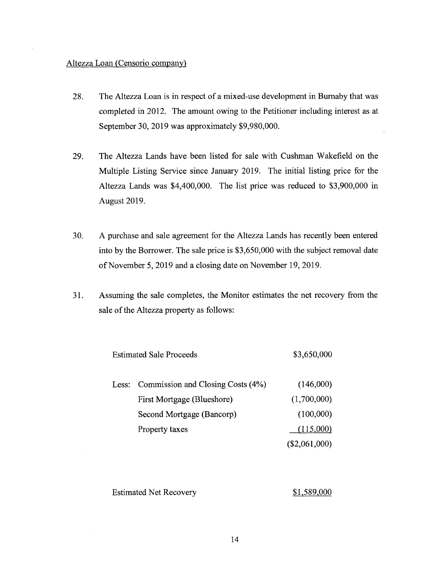#### Altezza Loan (Censorio company)

- 28. The Altezza Loan is in respect of a mixed-use development in Burnaby that was completed in 2012. The amount owing to the Petitioner including interest as at September 30, 2019 was approximately \$9,980,000.
- 29. The Altezza Lands have been listed for sale with Cushman Wakefield on the Multiple Listing Service since January 2019. The initial listing price for the Altezza Lands was \$4,400,000. The list price was reduced to \$3,900,000 in August 2019.
- 30. A purchase and sale agreement for the Altezza Lands has recently been entered into by the Borrower. The sale price is \$3,650,000 with the subject removal date of November 5, 2019 and a closing date on November 19, 2019.
- 31. Assuming the sale completes, the Monitor estimates the net recovery from the sale of the Altezza property as follows:

| <b>Estimated Sale Proceeds</b> |                                         | \$3,650,000     |
|--------------------------------|-----------------------------------------|-----------------|
|                                | Less: Commission and Closing Costs (4%) | (146,000)       |
|                                | First Mortgage (Blueshore)              | (1,700,000)     |
|                                | Second Mortgage (Bancorp)               | (100,000)       |
|                                | Property taxes                          | (115,000)       |
|                                |                                         | $(\$2,061,000)$ |

Estimated Net Recovery \$1,589,000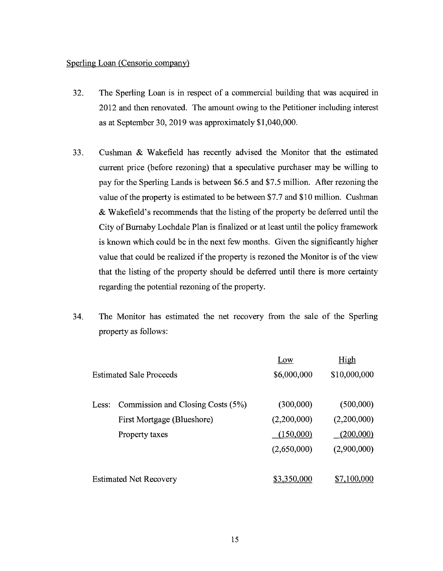#### Sperling Loan (Censorio company)

- 32. The Sperling Loan is in respect of a commercial building that was acquired in 2012 and then renovated. The amount owing to the Petitioner including interest as at September 30, 2019 was approximately \$1,040,000.
- 33. Cushman & Wakefield has recently advised the Monitor that the estimated current price (before rezoning) that a speculative purchaser may be willing to pay for the Sperling Lands is between \$6.5 and \$7.5 million. After rezoning the value of the property is estimated to be between \$7.7 and \$10 million. Cushman & Wakefield's recommends that the listing of the property be deferred until the City of Burnaby Lochdale Plan is finalized or at least until the policy framework is known which could be in the next few months. Given the significantly higher value that could be realized if the property is rezoned the Monitor is of the view that the listing of the property should be deferred until there is more certainty regarding the potential rezoning of the property.
- 34. The Monitor has estimated the net recovery from the sale of the Sperling property as follows:

|       |                                   | Low         | High         |
|-------|-----------------------------------|-------------|--------------|
|       | <b>Estimated Sale Proceeds</b>    | \$6,000,000 | \$10,000,000 |
| Less: | Commission and Closing Costs (5%) | (300,000)   | (500,000)    |
|       | First Mortgage (Blueshore)        | (2,200,000) | (2,200,000)  |
|       | Property taxes                    | (150,000)   | (200,000)    |
|       |                                   | (2,650,000) | (2,900,000)  |
|       | <b>Estimated Net Recovery</b>     | \$3,350,000 | \$7,100,000  |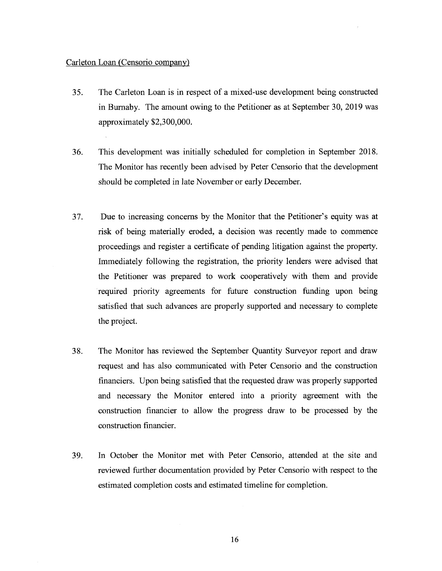#### Carleton Loan (Censorio company)

- 35. The Carleton Loan is in respect of a mixed-use development being constructed in Burnaby. The amount owing to the Petitioner as at September 30, 2019 was approximately \$2,300,000.
- 36. This development was initially scheduled for completion in September 2018. The Monitor has recently been advised by Peter Censorio that the development should be completed in late November or early December.
- 37. Due to increasing concerns by the Monitor that the Petitioner's equity was at risk of being materially eroded, a decision was recently made to commence proceedings and register a certificate of pending litigation against the property. Immediately following the registration, the priority lenders were advised that the Petitioner was prepared to work cooperatively with them and provide required priority agreements for future construction funding upon being satisfied that such advances are properly supported and necessary to complete the project.
- 38. The Monitor has reviewed the September Quantity Surveyor report and draw request and has also communicated with Peter Censorio and the construction financiers. Upon being satisfied that the requested draw was properly supported and necessary the Monitor entered into a priority agreement with the construction financier to allow the progress draw to be processed by the construction financier.
- 39. In October the Monitor met with Peter Censorio, attended at the site and reviewed further documentation provided by Peter Censorio with respect to the estimated completion costs and estimated timeline for completion.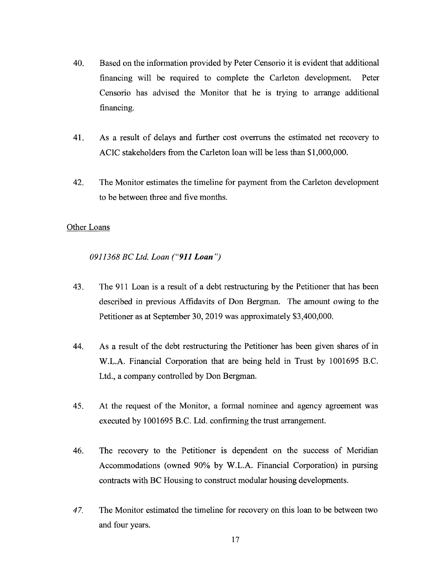- 40. Based on the information provided by Peter Censorio it is evident that additional financing will be required to complete the Carleton development. Peter Censorio has advised the Monitor that he is trying to arrange additional financing.
- 41. As a result of delays and further cost overruns the estimated net recovery to ACIC stakeholders from the Carleton loan will be less than \$1,000,000.
- 42. The Monitor estimates the timeline for payment from the Carleton development to be between three and five months.

#### Other Loans

*0911368 BCLtd. Loan ("<sup>911</sup> Loan ")*

- 43. The 911 Loan is a result of a debt restructuring by the Petitioner that has been described in previous Affidavits of Don Bergman. The amount owing to the Petitioner as at September 30, 2019 was approximately \$3,400,000.
- 44. As a result of the debt restructuring the Petitioner has been given shares of in W.L.A. Financial Corporation that are being held in Trust by 1001695 B.C. Ltd., a company controlled by Don Bergman.
- 45. At the request of the Monitor, a formal nominee and agency agreement was executed by 1001695 B.C. Ltd. confirming the trust arrangement.
- 46. The recovery to the Petitioner is dependent on the success of Meridian Accommodations (owned 90% by W.L.A. Financial Corporation) in pursing contracts with BC Housing to construct modular housing developments.
- *47.* The Monitor estimated the timeline for recovery on this loan to be between two and four years.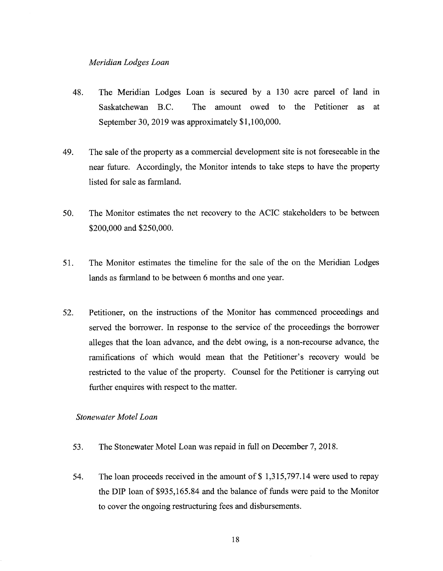#### *Meridian Lodges Loan*

- 48. The Meridian Lodges Loan is secured by a 130 acre parcel of land in Saskatchewan B.C. The amount owed to the Petitioner as at September 30, 2019 was approximately \$1,100,000.
- 49. The sale of the property as a commercial development site is not foreseeable in the near future. Accordingly, the Monitor intends to take steps to have the property listed for sale as farmland.
- 50. The Monitor estimates the net recovery to the ACIC stakeholders to be between \$200,000 and \$250,000.
- 51. The Monitor estimates the timeline for the sale of the on the Meridian Lodges lands as farmland to be between 6 months and one year.
- 52. Petitioner, on the instructions of the Monitor has commenced proceedings and served the borrower. In response to the service of the proceedings the borrower alleges that the loan advance, and the debt owing, is a non-recourse advance, the ramifications of which would mean that the Petitioner's recovery would be restricted to the value of the property. Counsel for the Petitioner is carrying out further enquires with respect to the matter.

*Stonewater Motel Loan*

- 53. The Stonewater Motel Loan was repaid in full on December 7, 2018.
- 54. The loan proceeds received in the amount of \$ 1,315,797.14 were used to repay the DIP loan of \$935,165.84 and the balance of funds were paid to the Monitor to cover the ongoing restructuring fees and disbursements.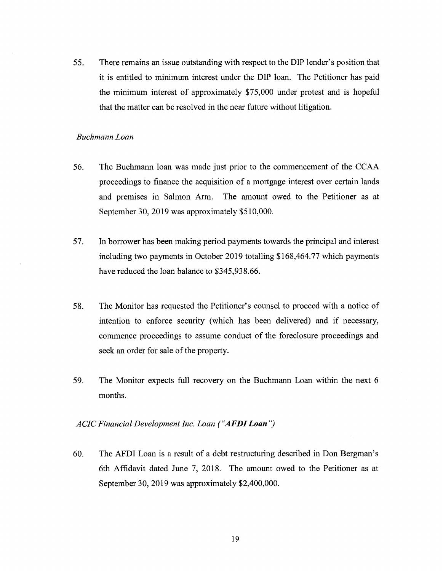55. There remains an issue outstanding with respect to the DIP lender's position that it is entitled to minimum interest under the DIP loan. The Petitioner has paid the minimum interest of approximately \$75,000 under protest and is hopeful that the matter can be resolved in the near future without litigation.

#### *Buchmann Loan*

- 56. The Buchmann loan was made just prior to the commencement of the CCAA proceedings to finance the acquisition of a mortgage interest over certain lands and premises in Salmon Arm. The amount owed to the Petitioner as at September 30, 2019 was approximately \$510,000.
- 57. In borrower has been making period payments towards the principal and interest including two payments in October 2019 totalling \$168,464.77 which payments have reduced the loan balance to \$345,938.66.
- 58. The Monitor has requested the Petitioner's counsel to proceed with a notice of intention to enforce security (which has been delivered) and if necessary, commence proceedings to assume conduct of the foreclosure proceedings and seek an order for sale of the property.
- 59. The Monitor expects full recovery on the Buchmann Loan within the next 6 months.

#### *ACICFinancial Development Inc. Loan ("AFDILoan ")*

60. The AFDI Loan is a result of a debt restructuring described in Don Bergman's 6th Affidavit dated June 7, 2018. The amount owed to the Petitioner as at September 30, 2019 was approximately \$2,400,000.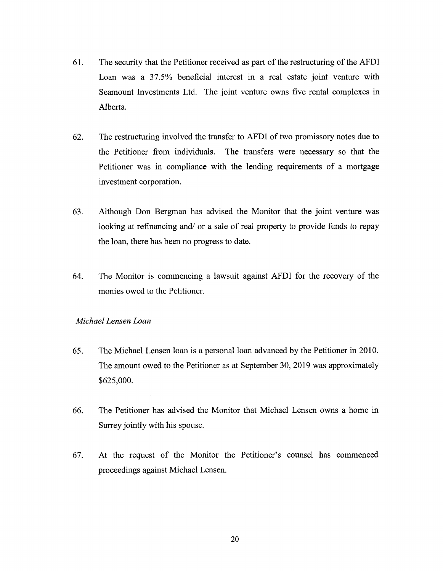- 61. The security that the Petitioner received as part of the restructuring of the AFDI Loan was a 37.5% beneficial interest in a real estate joint venture with Seamount Investments Ltd. The joint venture owns five rental complexes in Alberta.
- 62. The restructuring involved the transfer to AFDI of two promissory notes due to the Petitioner from individuals. The transfers were necessary so that the Petitioner was in compliance with the lending requirements of a mortgage investment corporation.
- 63. Although Don Bergman has advised the Monitor that the joint venture was looking at refinancing and/ or a sale of real property to provide funds to repay the loan, there has been no progress to date.
- 64. The Monitor is commencing a lawsuit against AFDI for the recovery of the monies owed to the Petitioner.

#### *Michael Lensen Loan*

- 65. The Michael Lensen loan is a personal loan advanced by the Petitioner in 2010. The amount owed to the Petitioner as at September 30, 2019 was approximately \$625,000.
- 66. The Petitioner has advised the Monitor that Michael Lensen owns a home in Surrey jointly with his spouse.
- 67. At the request of the Monitor the Petitioner's counsel has commenced proceedings against Michael Lensen.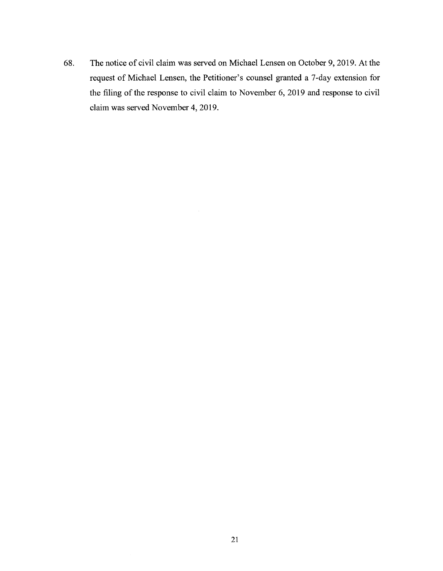68. The notice of civil claim was served on Michael Lensen on October 9, 2019. At the request of Michael Lensen, the Petitioner's counsel granted a 7-day extension for the filing of the response to civil claim to November 6, 2019 and response to civil claim was served November 4, 2019.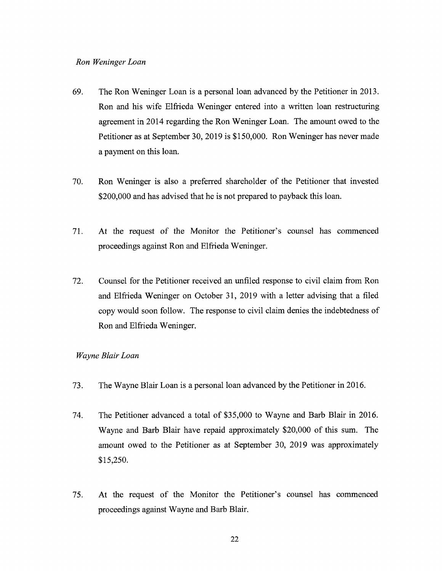#### *Ron Weninger Loan*

- 69. The Ron Weninger Loan is a personal loan advanced by the Petitioner in 2013. Ron and his wife Elfrieda Weninger entered into a written loan restructuring agreement in 2014 regarding the Ron Weninger Loan. The amount owed to the Petitioner as at September 30, 2019 is \$150,000. Ron Weninger has never made a payment on this loan.
- 70. Ron Weninger is also a preferred shareholder of the Petitioner that invested \$200,000 and has advised that he is not prepared to payback this loan.
- 71. At the request of the Monitor the Petitioner's counsel has commenced proceedings against Ron and Elfrieda Weninger.
- 72. Counsel for the Petitioner received an unfiled response to civil claim from Ron and Elfrieda Weninger on October 31, 2019 with a letter advising that a filed copy would soon follow. The response to civil claim denies the indebtedness of Ron and Elfrieda Weninger.

#### *Wayne Blair Loan*

- 73. The Wayne Blair Loan is a personal loan advanced by the Petitioner in 2016.
- 74. The Petitioner advanced a total of \$35,000 to Wayne and Barb Blair in 2016. Wayne and Barb Blair have repaid approximately \$20,000 of this sum. The amount owed to the Petitioner as at September 30, 2019 was approximately \$15,250.
- 75. At the request of the Monitor the Petitioner's counsel has commenced proceedings against Wayne and Barb Blair.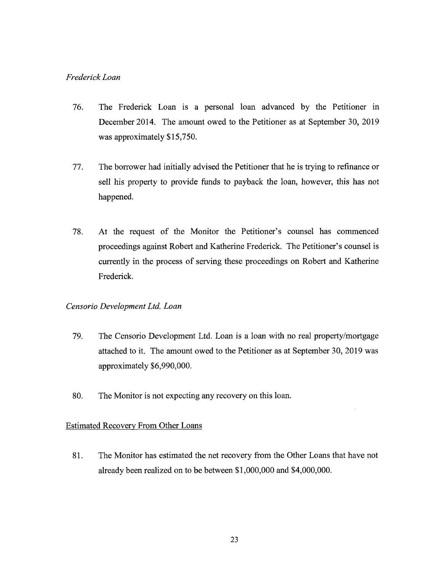## *FrederickLoan*

- 76. The Frederick Loan is a personal loan advanced by the Petitioner in December 2014. The amount owed to the Petitioner as at September 30, 2019 was approximately \$15,750.
- 77. The borrower had initially advised the Petitioner that he is trying to refinance or sell his property to provide funds to payback the loan, however, this has not happened.
- 78. At the request of the Monitor the Petitioner's counsel has commenced proceedings against Robert and Katherine Frederick. The Petitioner's counsel is currently in the process of serving these proceedings on Robert and Katherine Frederick.

### *Censorio Development Ltd. Loan*

- 79. The Censorio Development Ltd. Loan is a loan with no real property/mortgage attached to it. The amount owed to the Petitioner as at September 30, 2019 was approximately \$6,990,000.
- 80. The Monitor is not expecting any recovery on this loan.

## Estimated Recovery From Other Loans

81. The Monitor has estimated the net recovery from the Other Loans that have not already been realized on to be between \$1,000,000 and \$4,000,000.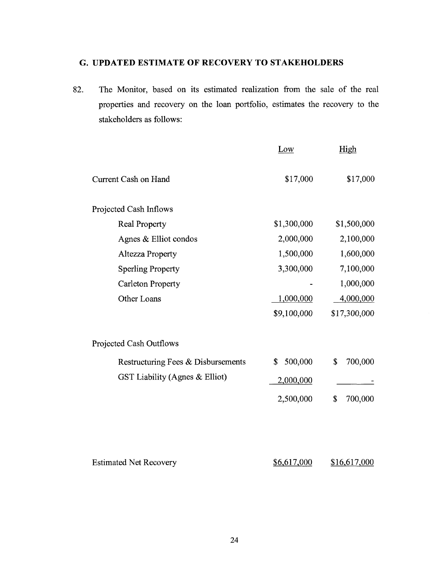# <span id="page-24-0"></span>**G. UPDATED ESTIMATE OF RECOVERY TO STAKEHOLDERS**

82. The Monitor, based on its estimated realization from the sale of the real properties and recovery on the loan portfolio, estimates the recovery to the stakeholders as follows:

|                                    | Low           | High          |
|------------------------------------|---------------|---------------|
| Current Cash on Hand               | \$17,000      | \$17,000      |
| Projected Cash Inflows             |               |               |
| Real Property                      | \$1,300,000   | \$1,500,000   |
| Agnes & Elliot condos              | 2,000,000     | 2,100,000     |
| Altezza Property                   | 1,500,000     | 1,600,000     |
| <b>Sperling Property</b>           | 3,300,000     | 7,100,000     |
| <b>Carleton Property</b>           |               | 1,000,000     |
| Other Loans                        | 1,000,000     | 4,000,000     |
|                                    | \$9,100,000   | \$17,300,000  |
| Projected Cash Outflows            |               |               |
| Restructuring Fees & Disbursements | 500,000<br>\$ | 700,000<br>\$ |
| GST Liability (Agnes & Elliot)     | 2,000,000     |               |
|                                    | 2,500,000     | 700,000<br>\$ |
|                                    |               |               |
| <b>Estimated Net Recovery</b>      | \$6,617,000   | \$16,617,000  |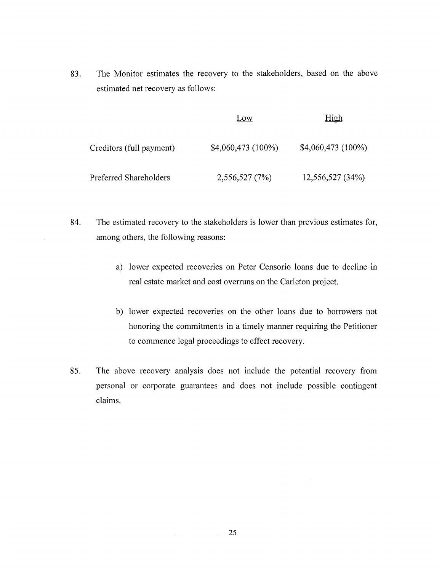83. The Monitor estimates the recovery to the stakeholders, based on the above estimated net recovery as follows:

|                          | Low                 | High               |
|--------------------------|---------------------|--------------------|
| Creditors (full payment) | $$4,060,473(100\%)$ | \$4,060,473 (100%) |
| Preferred Shareholders   | 2,556,527 (7%)      | 12,556,527 (34%)   |

- 84. The estimated recovery to the stakeholders is lower than previous estimates for, among others, the following reasons:
	- a) lower expected recoveries on Peter Censorio loans due to decline in real estate market and cost overruns on the Carleton project.
	- b) lower expected recoveries on the other loans due to borrowers not honoring the commitments in a timely manner requiring the Petitioner to commence legal proceedings to effect recovery.
- 85. The above recovery analysis does not include the potential recovery from personal or corporate guarantees and does not include possible contingent claims.

25

 $\mathcal{L}_{\rm{max}}$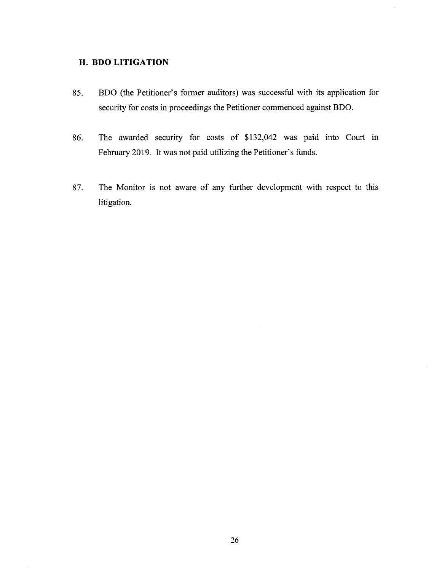## <span id="page-26-0"></span>**H. BDO LITIGATION**

- 85. BDO (the Petitioner's former auditors) was successful with its application for security for costs in proceedings the Petitioner commenced against BDO.
- 86. The awarded security for costs of \$132,042 was paid into Court in February 2019. It was not paid utilizing the Petitioner's funds.
- 87. The Monitor is not aware of any further development with respect to this litigation.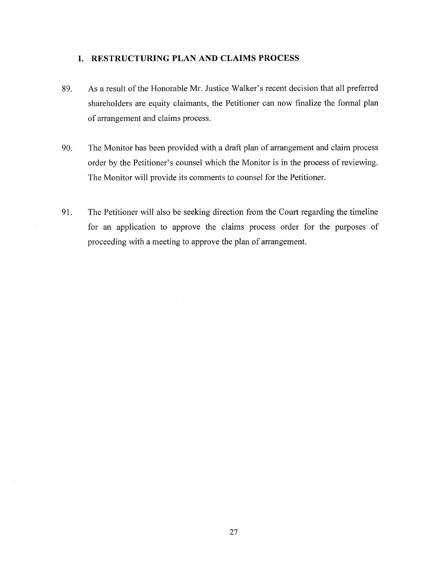## <span id="page-27-0"></span>**I. RESTRUCTURING PLAN AND CLAIMS PROCESS**

- 89. As a result of the Honorable Mr. Justice Walker's recent decision that all preferred shareholders are equity claimants, the Petitioner can now finalize the formal plan of arrangement and claims process.
- 90. The Monitor has been provided with a draft plan of arrangement and claim process order by the Petitioner's counsel which the Monitor is in the process of reviewing. The Monitor will provide its comments to counsel for the Petitioner.
- 91. The Petitioner will also be seeking direction from the Court regarding the timeline for an application to approve the claims process order for the purposes of proceeding with a meeting to approve the plan of arrangement.